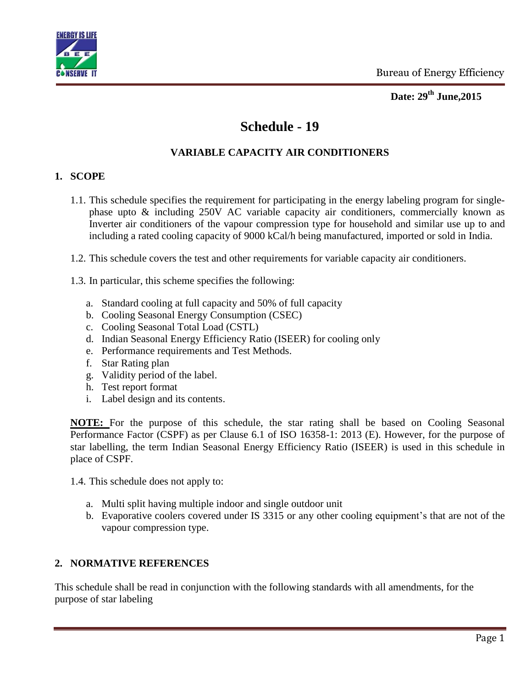



# **Schedule - 19**

### **VARIABLE CAPACITY AIR CONDITIONERS**

#### **1. SCOPE**

- 1.1. This schedule specifies the requirement for participating in the energy labeling program for singlephase upto & including 250V AC variable capacity air conditioners, commercially known as Inverter air conditioners of the vapour compression type for household and similar use up to and including a rated cooling capacity of 9000 kCal/h being manufactured, imported or sold in India.
- 1.2. This schedule covers the test and other requirements for variable capacity air conditioners.
- 1.3. In particular, this scheme specifies the following:
	- a. Standard cooling at full capacity and 50% of full capacity
	- b. Cooling Seasonal Energy Consumption (CSEC)
	- c. Cooling Seasonal Total Load (CSTL)
	- d. Indian Seasonal Energy Efficiency Ratio (ISEER) for cooling only
	- e. Performance requirements and Test Methods.
	- f. Star Rating plan
	- g. Validity period of the label.
	- h. Test report format
	- i. Label design and its contents.

**NOTE:** For the purpose of this schedule, the star rating shall be based on Cooling Seasonal Performance Factor (CSPF) as per Clause 6.1 of ISO 16358-1: 2013 (E). However, for the purpose of star labelling, the term Indian Seasonal Energy Efficiency Ratio (ISEER) is used in this schedule in place of CSPF.

1.4. This schedule does not apply to:

- a. Multi split having multiple indoor and single outdoor unit
- b. Evaporative coolers covered under IS 3315 or any other cooling equipment's that are not of the vapour compression type.

### **2. NORMATIVE REFERENCES**

This schedule shall be read in conjunction with the following standards with all amendments, for the purpose of star labeling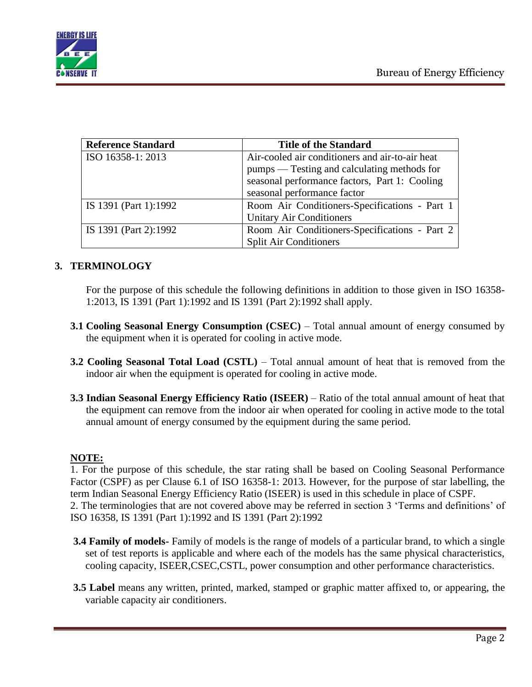

| <b>Reference Standard</b> | <b>Title of the Standard</b>                    |  |  |  |  |  |
|---------------------------|-------------------------------------------------|--|--|--|--|--|
| ISO 16358-1: 2013         | Air-cooled air conditioners and air-to-air heat |  |  |  |  |  |
|                           | pumps — Testing and calculating methods for     |  |  |  |  |  |
|                           | seasonal performance factors, Part 1: Cooling   |  |  |  |  |  |
|                           | seasonal performance factor                     |  |  |  |  |  |
| IS 1391 (Part 1):1992     | Room Air Conditioners-Specifications - Part 1   |  |  |  |  |  |
|                           | <b>Unitary Air Conditioners</b>                 |  |  |  |  |  |
| IS 1391 (Part 2):1992     | Room Air Conditioners-Specifications - Part 2   |  |  |  |  |  |
|                           | <b>Split Air Conditioners</b>                   |  |  |  |  |  |

#### **3. TERMINOLOGY**

For the purpose of this schedule the following definitions in addition to those given in ISO 16358- 1:2013, IS 1391 (Part 1):1992 and IS 1391 (Part 2):1992 shall apply.

- **3.1 Cooling Seasonal Energy Consumption (CSEC)** Total annual amount of energy consumed by the equipment when it is operated for cooling in active mode.
- **3.2 Cooling Seasonal Total Load (CSTL)** Total annual amount of heat that is removed from the indoor air when the equipment is operated for cooling in active mode.
- **3.3 Indian Seasonal Energy Efficiency Ratio (ISEER)** Ratio of the total annual amount of heat that the equipment can remove from the indoor air when operated for cooling in active mode to the total annual amount of energy consumed by the equipment during the same period.

#### **NOTE:**

1. For the purpose of this schedule, the star rating shall be based on Cooling Seasonal Performance Factor (CSPF) as per Clause 6.1 of ISO 16358-1: 2013. However, for the purpose of star labelling, the term Indian Seasonal Energy Efficiency Ratio (ISEER) is used in this schedule in place of CSPF. 2. The terminologies that are not covered above may be referred in section 3 'Terms and definitions' of ISO 16358, IS 1391 (Part 1):1992 and IS 1391 (Part 2):1992

- **3.4 Family of models-** Family of models is the range of models of a particular brand, to which a single set of test reports is applicable and where each of the models has the same physical characteristics, cooling capacity, ISEER,CSEC,CSTL, power consumption and other performance characteristics.
- **3.5 Label** means any written, printed, marked, stamped or graphic matter affixed to, or appearing, the variable capacity air conditioners.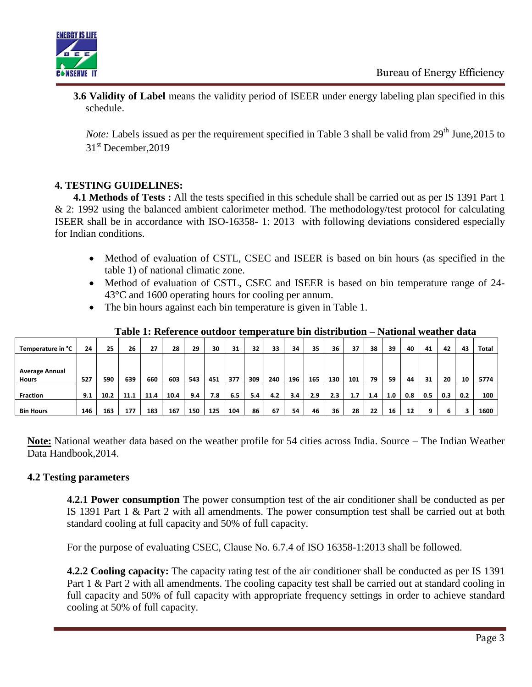

**3.6 Validity of Label** means the validity period of ISEER under energy labeling plan specified in this schedule.

*Note:* Labels issued as per the requirement specified in Table 3 shall be valid from 29<sup>th</sup> June, 2015 to 31<sup>st</sup> December, 2019

### **4. TESTING GUIDELINES:**

**4.1 Methods of Tests :** All the tests specified in this schedule shall be carried out as per IS 1391 Part 1 & 2: 1992 using the balanced ambient calorimeter method. The methodology/test protocol for calculating ISEER shall be in accordance with ISO-16358- 1: 2013 with following deviations considered especially for Indian conditions.

- Method of evaluation of CSTL, CSEC and ISEER is based on bin hours (as specified in the table 1) of national climatic zone.
- Method of evaluation of CSTL, CSEC and ISEER is based on bin temperature range of 24-43°C and 1600 operating hours for cooling per annum.
- The bin hours against each bin temperature is given in Table 1.

| Temperature in °C     | 24  | 25   | 26   | 27   | 28   | 29  | 30  | 31  | 32  | 33  | 34  | 35  | 36  | 37  | 38  | 39  | 40  | 41  | 42  | 43  | Total |
|-----------------------|-----|------|------|------|------|-----|-----|-----|-----|-----|-----|-----|-----|-----|-----|-----|-----|-----|-----|-----|-------|
|                       |     |      |      |      |      |     |     |     |     |     |     |     |     |     |     |     |     |     |     |     |       |
| <b>Average Annual</b> |     |      |      |      |      |     |     |     |     |     |     |     |     |     |     |     |     |     |     |     |       |
| <b>Hours</b>          | 527 | 590  | 639  | 660  | 603  | 543 | 451 | 377 | 309 | 240 | 196 | 165 | 130 | 101 | 79  | 59  | 44  | 31  | 20  | 10  | 5774  |
|                       |     |      |      |      |      |     |     |     |     |     |     |     |     |     |     |     |     |     |     |     |       |
| <b>Fraction</b>       | 9.1 | 10.2 | 11.1 | 11.4 | 10.4 | 9.4 | 7.8 | 6.5 | 5.4 | 4.2 | 3.4 | 2.9 | 2.3 | 1.7 | 1.4 | 1.0 | 0.8 | 0.5 | 0.3 | 0.2 | 100   |
|                       |     |      |      |      |      |     |     |     |     |     |     |     |     |     |     |     |     |     |     |     |       |
| <b>Bin Hours</b>      | 146 | 163  | 177  | 183  | 167  | 150 | 125 | 104 | 86  | 67  | 54  | 46  | 36  | 28  | 22  | 16  | 12  | a   | b   |     | 1600  |

**Table 1: Reference outdoor temperature bin distribution – National weather data**

**Note:** National weather data based on the weather profile for 54 cities across India. Source – The Indian Weather Data Handbook,2014.

### **4.2 Testing parameters**

**4.2.1 Power consumption** The power consumption test of the air conditioner shall be conducted as per IS 1391 Part 1 & Part 2 with all amendments. The power consumption test shall be carried out at both standard cooling at full capacity and 50% of full capacity.

For the purpose of evaluating CSEC, Clause No. 6.7.4 of ISO 16358-1:2013 shall be followed.

**4.2.2 Cooling capacity:** The capacity rating test of the air conditioner shall be conducted as per IS 1391 Part 1 & Part 2 with all amendments. The cooling capacity test shall be carried out at standard cooling in full capacity and 50% of full capacity with appropriate frequency settings in order to achieve standard cooling at 50% of full capacity.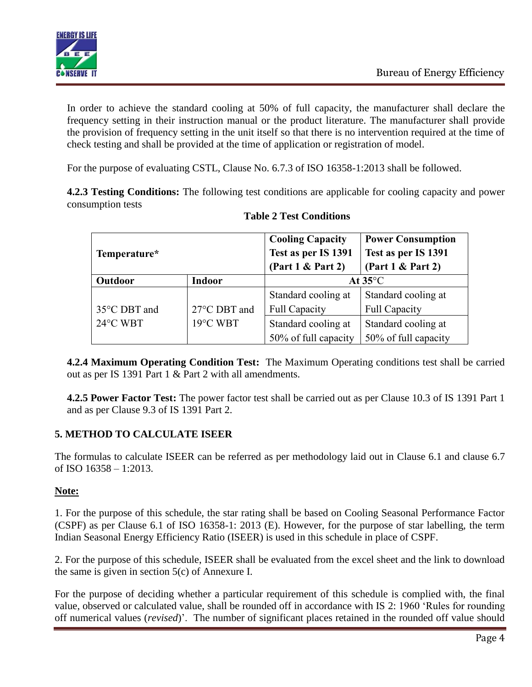

In order to achieve the standard cooling at 50% of full capacity, the manufacturer shall declare the frequency setting in their instruction manual or the product literature. The manufacturer shall provide the provision of frequency setting in the unit itself so that there is no intervention required at the time of check testing and shall be provided at the time of application or registration of model.

For the purpose of evaluating CSTL, Clause No. 6.7.3 of ISO 16358-1:2013 shall be followed.

**4.2.3 Testing Conditions:** The following test conditions are applicable for cooling capacity and power consumption tests

| Temperature* |                    | <b>Cooling Capacity</b><br>Test as per IS 1391<br>(Part 1 & Part 2) | <b>Power Consumption</b><br>Test as per IS 1391<br>(Part 1 & Part 2) |
|--------------|--------------------|---------------------------------------------------------------------|----------------------------------------------------------------------|
| Outdoor      | <b>Indoor</b>      |                                                                     | At $35^{\circ}$ C                                                    |
|              |                    | Standard cooling at                                                 | Standard cooling at                                                  |
| 35°C DBT and | 27°C DBT and       | <b>Full Capacity</b>                                                | <b>Full Capacity</b>                                                 |
| 24°C WBT     | $19^{\circ}$ C WBT | Standard cooling at                                                 | Standard cooling at                                                  |
|              |                    | 50% of full capacity                                                | 50% of full capacity                                                 |

#### **Table 2 Test Conditions**

**4.2.4 Maximum Operating Condition Test:** The Maximum Operating conditions test shall be carried out as per IS 1391 Part 1 & Part 2 with all amendments.

**4.2.5 Power Factor Test:** The power factor test shall be carried out as per Clause 10.3 of IS 1391 Part 1 and as per Clause 9.3 of IS 1391 Part 2.

### **5. METHOD TO CALCULATE ISEER**

The formulas to calculate ISEER can be referred as per methodology laid out in Clause 6.1 and clause 6.7 of ISO 16358 – 1:2013.

### **Note:**

1. For the purpose of this schedule, the star rating shall be based on Cooling Seasonal Performance Factor (CSPF) as per Clause 6.1 of ISO 16358-1: 2013 (E). However, for the purpose of star labelling, the term Indian Seasonal Energy Efficiency Ratio (ISEER) is used in this schedule in place of CSPF.

2. For the purpose of this schedule, ISEER shall be evaluated from the excel sheet and the link to download the same is given in section 5(c) of Annexure I.

For the purpose of deciding whether a particular requirement of this schedule is complied with, the final value, observed or calculated value, shall be rounded off in accordance with IS 2: 1960 'Rules for rounding off numerical values (*revised*)'. The number of significant places retained in the rounded off value should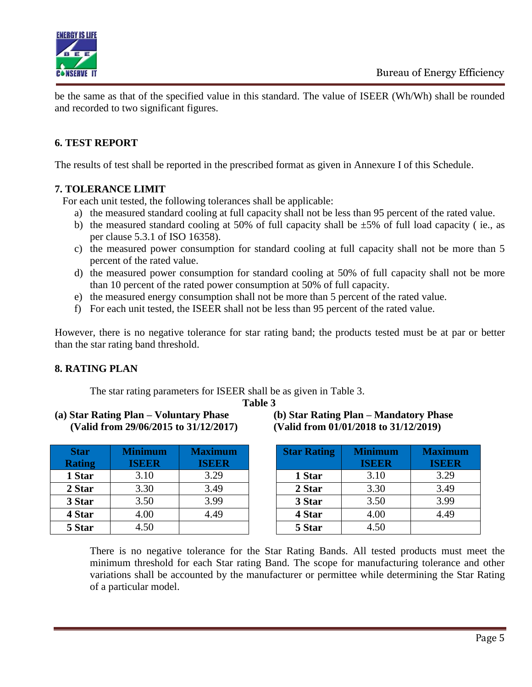



be the same as that of the specified value in this standard. The value of ISEER (Wh/Wh) shall be rounded and recorded to two significant figures.

### **6. TEST REPORT**

The results of test shall be reported in the prescribed format as given in Annexure I of this Schedule.

#### **7. TOLERANCE LIMIT**

For each unit tested, the following tolerances shall be applicable:

- a) the measured standard cooling at full capacity shall not be less than 95 percent of the rated value.
- b) the measured standard cooling at 50% of full capacity shall be  $\pm$ 5% of full load capacity (ie., as per clause 5.3.1 of ISO 16358).
- c) the measured power consumption for standard cooling at full capacity shall not be more than 5 percent of the rated value.
- d) the measured power consumption for standard cooling at 50% of full capacity shall not be more than 10 percent of the rated power consumption at 50% of full capacity.
- e) the measured energy consumption shall not be more than 5 percent of the rated value.
- f) For each unit tested, the ISEER shall not be less than 95 percent of the rated value.

However, there is no negative tolerance for star rating band; the products tested must be at par or better than the star rating band threshold.

#### **8. RATING PLAN**

The star rating parameters for ISEER shall be as given in Table 3.

**Table 3**

**(a) Star Rating Plan – Voluntary Phase (b) Star Rating Plan – Mandatory Phase (Valid from 29/06/2015 to 31/12/2017) (Valid from 01/01/2018 to 31/12/2019)**

| <b>Star</b>   | <b>Minimum</b> | <b>Maximum</b> | <b>Star Rating</b> | <b>Minimum</b> | <b>Maxim</b> |
|---------------|----------------|----------------|--------------------|----------------|--------------|
| <b>Rating</b> | <b>ISEER</b>   | <b>ISEER</b>   |                    | <b>ISEER</b>   | <b>ISEE</b>  |
| 1 Star        | 3.10           | 3.29           | 1 Star             | 3.10           | 3.29         |
| 2 Star        | 3.30           | 3.49           | 2 Star             | 3.30           | 3.49         |
| 3 Star        | 3.50           | 3.99           | 3 Star             | 3.50           | 3.99         |
| 4 Star        | 4.00           | 4.49           | 4 Star             | 4.00           | 4.49         |
| 5 Star        | 4.50           |                | 5 Star             | 4.50           |              |

| (b) Star Rating Plan – Mandatory Phase |
|----------------------------------------|
| (Valid from 01/01/2018 to 31/12/2019)  |

| <b>Star Rating</b> | <b>Minimum</b><br><b>ISEER</b> | <b>Maximum</b><br><b>ISEER</b> |
|--------------------|--------------------------------|--------------------------------|
| 1 Star             | 3.10                           | 3.29                           |
| 2 Star             | 3.30                           | 3.49                           |
| 3 Star             | 3.50                           | 3.99                           |
| 4 Star             | 4.00                           | 4.49                           |
| 5 Star             | 4.50                           |                                |

There is no negative tolerance for the Star Rating Bands. All tested products must meet the minimum threshold for each Star rating Band. The scope for manufacturing tolerance and other variations shall be accounted by the manufacturer or permittee while determining the Star Rating of a particular model.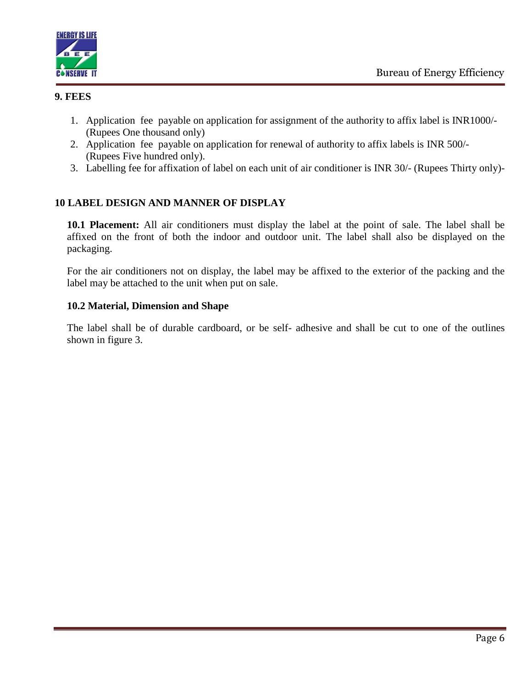



#### **9. FEES**

- 1. Application fee payable on application for assignment of the authority to affix label is INR1000/- (Rupees One thousand only)
- 2. Application fee payable on application for renewal of authority to affix labels is INR 500/- (Rupees Five hundred only).
- 3. Labelling fee for affixation of label on each unit of air conditioner is INR 30/- (Rupees Thirty only)-

### **10 LABEL DESIGN AND MANNER OF DISPLAY**

**10.1 Placement:** All air conditioners must display the label at the point of sale. The label shall be affixed on the front of both the indoor and outdoor unit. The label shall also be displayed on the packaging.

For the air conditioners not on display, the label may be affixed to the exterior of the packing and the label may be attached to the unit when put on sale.

#### **10.2 Material, Dimension and Shape**

The label shall be of durable cardboard, or be self- adhesive and shall be cut to one of the outlines shown in figure 3.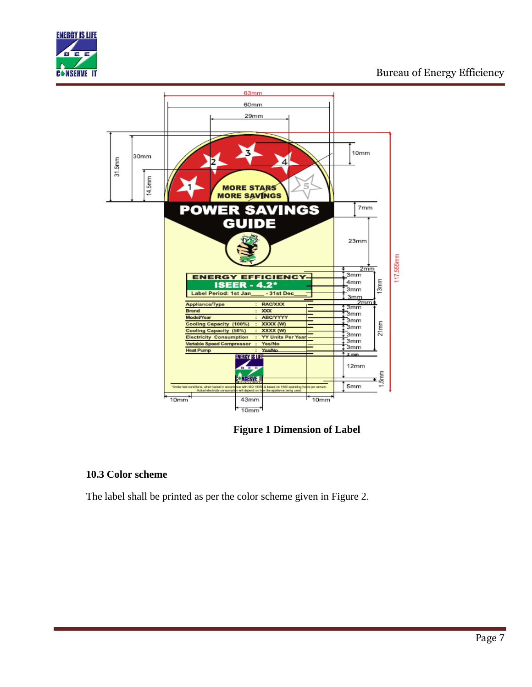



**Figure 1 Dimension of Label**

### **10.3 Color scheme**

The label shall be printed as per the color scheme given in Figure 2.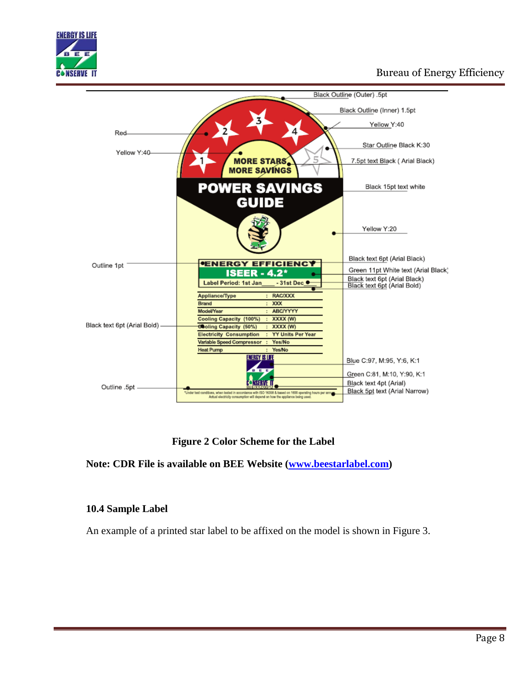



 **Figure 2 Color Scheme for the Label**

**Note: CDR File is available on BEE Website [\(www.beestarlabel.com\)](http://www.beestarlabel.com/)** 

#### **10.4 Sample Label**

An example of a printed star label to be affixed on the model is shown in Figure 3.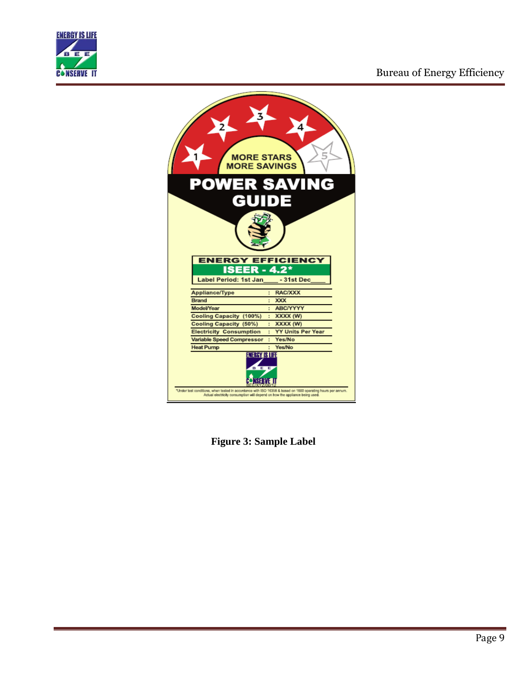



**Figure 3: Sample Label**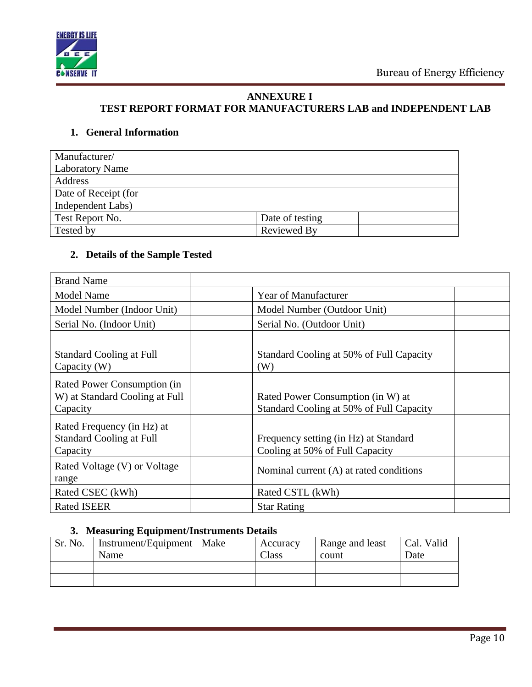

#### **ANNEXURE I TEST REPORT FORMAT FOR MANUFACTURERS LAB and INDEPENDENT LAB**

### **1. General Information**

| Manufacturer/          |                 |  |
|------------------------|-----------------|--|
| <b>Laboratory Name</b> |                 |  |
| Address                |                 |  |
| Date of Receipt (for   |                 |  |
| Independent Labs)      |                 |  |
| Test Report No.        | Date of testing |  |
| Tested by              | Reviewed By     |  |

### **2. Details of the Sample Tested**

| <b>Brand Name</b>                                                         |                                                                               |  |
|---------------------------------------------------------------------------|-------------------------------------------------------------------------------|--|
| <b>Model Name</b>                                                         | <b>Year of Manufacturer</b>                                                   |  |
| Model Number (Indoor Unit)                                                | Model Number (Outdoor Unit)                                                   |  |
| Serial No. (Indoor Unit)                                                  | Serial No. (Outdoor Unit)                                                     |  |
| <b>Standard Cooling at Full</b><br>Capacity (W)                           | Standard Cooling at 50% of Full Capacity<br>(W)                               |  |
| Rated Power Consumption (in<br>W) at Standard Cooling at Full<br>Capacity | Rated Power Consumption (in W) at<br>Standard Cooling at 50% of Full Capacity |  |
| Rated Frequency (in Hz) at<br><b>Standard Cooling at Full</b><br>Capacity | Frequency setting (in Hz) at Standard<br>Cooling at 50% of Full Capacity      |  |
| Rated Voltage (V) or Voltage<br>range                                     | Nominal current (A) at rated conditions                                       |  |
| Rated CSEC (kWh)                                                          | Rated CSTL (kWh)                                                              |  |
| <b>Rated ISEER</b>                                                        | <b>Star Rating</b>                                                            |  |

#### **3. Measuring Equipment/Instruments Details**

| Sr. No. | Instrument/Equipment   Make<br>Name | Accuracy<br>Class | Range and least<br>count | Cal. Valid<br>Date |
|---------|-------------------------------------|-------------------|--------------------------|--------------------|
|         |                                     |                   |                          |                    |
|         |                                     |                   |                          |                    |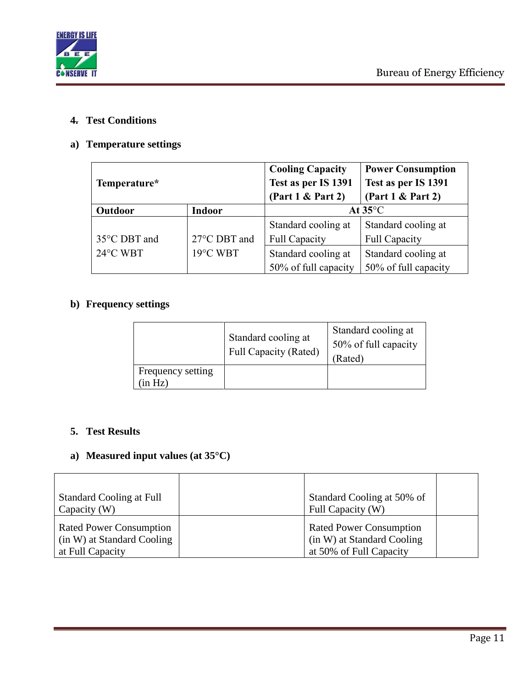

### **4. Test Conditions**

### **a) Temperature settings**

| Temperature*                   |               | <b>Cooling Capacity</b><br>Test as per IS 1391<br>(Part 1 & Part 2) | <b>Power Consumption</b><br>Test as per IS 1391<br>(Part 1 & Part 2) |  |  |
|--------------------------------|---------------|---------------------------------------------------------------------|----------------------------------------------------------------------|--|--|
| Outdoor                        | <b>Indoor</b> | At $35^{\circ}$ C                                                   |                                                                      |  |  |
|                                |               | Standard cooling at                                                 | Standard cooling at                                                  |  |  |
| 35°C DBT and                   | 27°C DBT and  | <b>Full Capacity</b>                                                | <b>Full Capacity</b>                                                 |  |  |
| 19°C WBT<br>$24^{\circ}$ C WBT |               | Standard cooling at                                                 | Standard cooling at                                                  |  |  |
|                                |               | 50% of full capacity                                                | 50% of full capacity                                                 |  |  |

### **b) Frequency settings**

|                             | Standard cooling at<br><b>Full Capacity (Rated)</b> | Standard cooling at<br>50% of full capacity<br>Rated) |
|-----------------------------|-----------------------------------------------------|-------------------------------------------------------|
| Frequency setting<br>in Hz) |                                                     |                                                       |

#### **5. Test Results**

## **a) Measured input values (at 35°C)**

| <b>Standard Cooling at Full</b><br>Capacity $(W)$                                | Standard Cooling at 50% of<br>Full Capacity (W)                                         |  |
|----------------------------------------------------------------------------------|-----------------------------------------------------------------------------------------|--|
| <b>Rated Power Consumption</b><br>(in W) at Standard Cooling<br>at Full Capacity | <b>Rated Power Consumption</b><br>(in W) at Standard Cooling<br>at 50% of Full Capacity |  |